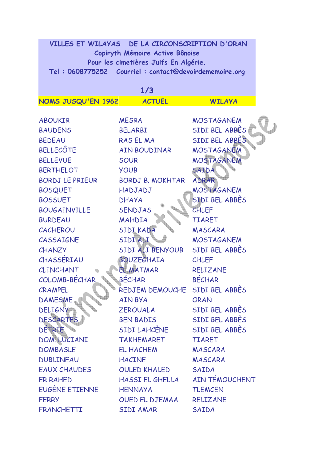| VILLES ET WILAYAS DE LA CIRCONSCRIPTION D'ORAN        |
|-------------------------------------------------------|
| Copiryth Mémoire Active Bônoise                       |
| Pour les cimetières Juifs En Algérie.                 |
| Tel: 0608775252 Courriel: contact@devoirdememoire.org |

| 1/3                    |                         |                   |  |
|------------------------|-------------------------|-------------------|--|
| NOMS JUSQU'EN 1962     | <b>ACTUEL</b>           | <b>WILAYA</b>     |  |
|                        |                         |                   |  |
| <b>ABOUKIR</b>         | <b>MESRA</b>            | <b>MOSTAGANEM</b> |  |
| <b>BAUDENS</b>         | <b>BELARBI</b>          | SIDI BEL ABBES    |  |
| <b>BEDEAU</b>          | <b>RASELMA</b>          | SIDI BEL ABBES    |  |
| <b>BELLECÔTE</b>       | AIN BOUDINAR            | <b>MOSTAGANEM</b> |  |
| <b>BELLEVUE</b>        | <b>SOUR</b>             | MOSTAGANEM        |  |
| <b>BERTHELOT</b>       | <b>YOUB</b>             | SAIDA             |  |
| <b>BORDJ LE PRIEUR</b> | <b>BORDJ B. MOKHTAR</b> | ADRAR             |  |
| <b>BOSQUET</b>         | HADJADJ                 | MOSTAGANEM        |  |
| <b>BOSSUET</b>         | <b>DHAYA</b>            | SIDI BEL ABBES    |  |
| <b>BOUGAINVILLE</b>    | <b>SENDJAS</b>          | <b>CHLEF</b>      |  |
| <b>BURDEAU</b>         | MAHDIA                  | <b>TIARET</b>     |  |
| <b>CACHEROU</b>        | SIDI KADA               | MASCARA           |  |
| CASSAIGNE              | SIDI ALI                | <b>MOSTAGANEM</b> |  |
| CHANZY                 | SIDI ALI BENYOUB        | SIDI BEL ABBES    |  |
| CHASSÉRIAU             | <b>BOUZEGHAIA</b>       | <b>CHLEF</b>      |  |
| CLINCHANT              | <b>EL MATMAR</b>        | <b>RELIZANE</b>   |  |
| COLOMB-BÉCHAR          | BÉCHAR                  | <b>BÉCHAR</b>     |  |
| CRAMPEL                | <b>REDJEM DEMOUCHE</b>  | SIDI BEL ABBES    |  |
| <b>DAMESME</b>         | <b>AIN BYA</b>          | <b>ORAN</b>       |  |
| <b>DELIGNY</b>         | <b>ZEROUALA</b>         | SIDI BEL ABBES    |  |
| DESCARTES              | <b>BEN BADIS</b>        | SIDI BEL ABBES    |  |
| DETRIE                 | <b>SIDI LAHCÈNE</b>     | SIDI BEL ABBES    |  |
| DOM. LUCIANI           | <b>TAKHEMARET</b>       | <b>TIARET</b>     |  |
| <b>DOMBASLE</b>        | <b>EL HACHEM</b>        | MASCARA           |  |
| <b>DUBLINEAU</b>       | <b>HACINE</b>           | MASCARA           |  |
| <b>EAUX CHAUDES</b>    | <b>OULED KHALED</b>     | SAIDA             |  |
| ER RAHED               | HASSI EL GHELLA         | AIN TÉMOUCHENT    |  |
| EUGÈNE ETIENNE         | <b>HENNAYA</b>          | <b>TLEMCEN</b>    |  |
| <b>FERRY</b>           | OUED EL DJEMAA          | <b>RELIZANE</b>   |  |
| <b>FRANCHETTI</b>      | <b>SIDI AMAR</b>        | SAIDA             |  |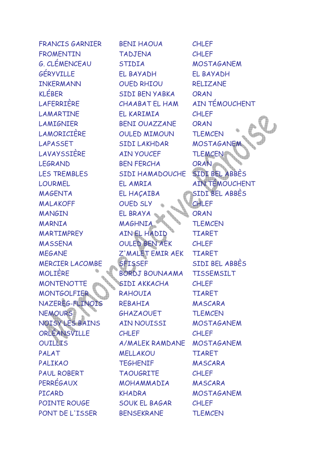| <b>FRANCIS GARNIER</b> | <b>BENI HAOUA</b>     | <b>CHLEF</b>          |
|------------------------|-----------------------|-----------------------|
| <b>FROMENTIN</b>       | <b>TADJENA</b>        | <b>CHLEF</b>          |
| <b>G. CLÉMENCEAU</b>   | <b>STIDIA</b>         | <b>MOSTAGANEM</b>     |
| GÉRYVILLE              | EL BAYADH             | EL BAYADH             |
| <b>INKERMANN</b>       | <b>OUED RHIOU</b>     | <b>RELIZANE</b>       |
| <b>KLÉBER</b>          | SIDI BEN YABKA        | <b>ORAN</b>           |
| <b>LAFERRIÈRE</b>      | <b>CHAABAT EL HAM</b> | AIN TÉMOUCHENT        |
| LAMARTINE              | EL KARIMIA            | <b>CHLEF</b>          |
| <b>LAMIGNIER</b>       | <b>BENI OUAZZANE</b>  | <b>ORAN</b>           |
| LAMORICIÈRE            | <b>OULED MIMOUN</b>   | <b>TLEMCEN</b>        |
| LAPASSET               | SIDI LAKHDAR          | <b>MOSTAGANE</b>      |
| LAVAYSSIÈRE            | <b>AIN YOUCEF</b>     | <b>TLEMCEN</b>        |
| <b>LEGRAND</b>         | <b>BEN FERCHA</b>     | <b>ORAN</b>           |
| <b>LES TREMBLES</b>    | SIDI HAMADOUCHE       | SIDI BEL ABBES        |
| <b>LOURMEL</b>         | EL AMRIA              | <b>AIN TÉMOUCHENT</b> |
| <b>MAGENTA</b>         | EL HAÇAIBA            | SIDI BEL ABBES        |
| <b>MALAKOFF</b>        | <b>OUED SLY</b>       | CHLEF                 |
| <b>MANGIN</b>          | EL BRAYA              | <b>ORAN</b>           |
| <b>MARNIA</b>          | <b>MAGHNIA</b>        | <b>TLEMCEN</b>        |
| <b>MARTIMPREY</b>      | AIN EL HADID          | <b>TIARET</b>         |
| <b>MASSENA</b>         | <b>OULED BEN AEK</b>  | <b>CHLEF</b>          |
| <b>MEGANE</b>          | Z'MALET EMIR AEK      | <b>TIARET</b>         |
| <b>MERCIER LACOMBE</b> | <b>SFISSEF</b>        | SIDI BEL ABBES        |
| <b>MOLIÈRE</b>         | BORDJ BOUNAAMA        | <b>TISSEMSILT</b>     |
| <b>MONTENOTTE</b>      | SIDI AKKACHA          | <b>CHLEF</b>          |
| <b>MONTGOLFIER</b>     | <b>RAHOUIA</b>        | <b>TIARET</b>         |
| NAZEREG-FLINOIS        | REBAHIA               | MASCARA               |
| <b>NEMOURS</b>         | GHAZAOUET             | <b>TLEMCEN</b>        |
| NOISY LES BAINS        | AIN NOUISSI           | <b>MOSTAGANEM</b>     |
| ORLEANSVILLE           | <b>CHLEF</b>          | <b>CHLEF</b>          |
| OUILLIS                | A/MALEK RAMDANE       | <b>MOSTAGANEM</b>     |
| PALAT                  | <b>MELLAKOU</b>       | <b>TIARET</b>         |
| <b>PALIKAO</b>         | <b>TEGHENIF</b>       | MASCARA               |
| <b>PAUL ROBERT</b>     | <b>TAOUGRITE</b>      | <b>CHLEF</b>          |
| <b>PERRÉGAUX</b>       | MOHAMMADIA            | MASCARA               |
| PICARD                 | KHADRA                | <b>MOSTAGANEM</b>     |
| POINTE ROUGE           | <b>SOUK EL BAGAR</b>  | <b>CHLEF</b>          |
| PONT DE L'ISSER        | <b>BENSEKRANE</b>     | <b>TLEMCEN</b>        |